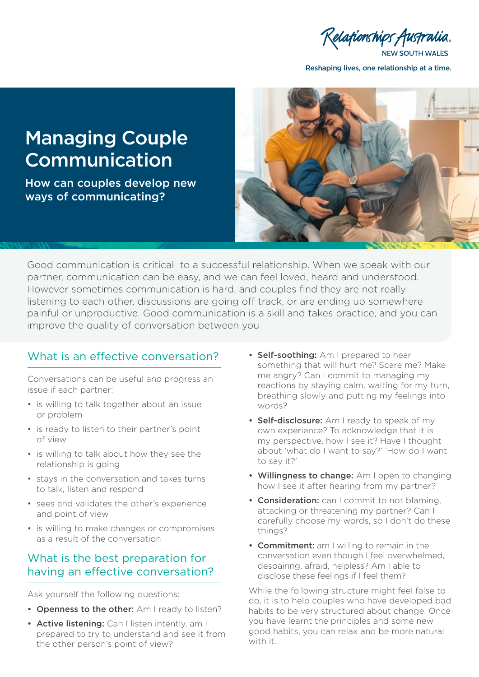Relationships,

**NEW SOUTH WALES** 

Reshaping lives, one relationship at a time.

# Managing Couple Communication

How can couples develop new ways of communicating?



Good communication is critical to a successful relationship. When we speak with our partner, communication can be easy, and we can feel loved, heard and understood. However sometimes communication is hard, and couples find they are not really listening to each other, discussions are going off track, or are ending up somewhere painful or unproductive. Good communication is a skill and takes practice, and you can improve the quality of conversation between you

## What is an effective conversation?

Conversations can be useful and progress an issue if each partner:

- is willing to talk together about an issue or problem
- is ready to listen to their partner's point of view
- is willing to talk about how they see the relationship is going
- stays in the conversation and takes turns to talk, listen and respond
- sees and validates the other's experience and point of view
- is willing to make changes or compromises as a result of the conversation

#### What is the best preparation for having an effective conversation?

Ask yourself the following questions:

- Openness to the other: Am I ready to listen?
- Active listening: Can I listen intently, am I prepared to try to understand and see it from the other person's point of view?
- Self-soothing: Am I prepared to hear something that will hurt me? Scare me? Make me angry? Can I commit to managing my reactions by staying calm, waiting for my turn, breathing slowly and putting my feelings into words?
- Self-disclosure: Am I ready to speak of my own experience? To acknowledge that it is my perspective, how I see it? Have I thought about 'what do I want to say?' 'How do I want to say it?'
- Willingness to change: Am I open to changing how I see it after hearing from my partner?
- Consideration: can I commit to not blaming, attacking or threatening my partner? Can I carefully choose my words, so I don't do these things?
- Commitment: am I willing to remain in the conversation even though I feel overwhelmed, despairing, afraid, helpless? Am I able to disclose these feelings if I feel them?

While the following structure might feel false to do, it is to help couples who have developed bad habits to be very structured about change. Once you have learnt the principles and some new good habits, you can relax and be more natural with it.